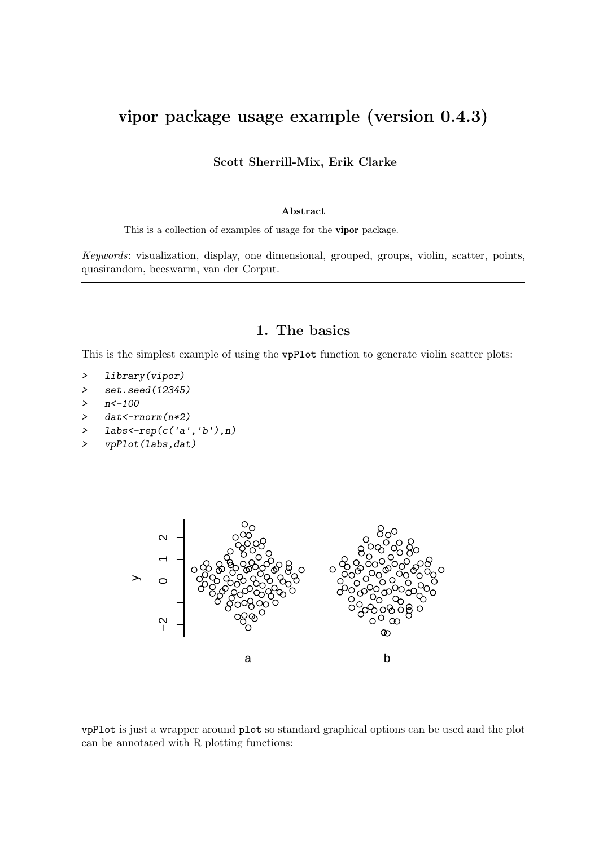# vipor package usage example (version 0.4.3)

Scott Sherrill-Mix, Erik Clarke

#### Abstract

This is a collection of examples of usage for the vipor package.

Keywords: visualization, display, one dimensional, grouped, groups, violin, scatter, points, quasirandom, beeswarm, van der Corput.

#### 1. The basics

This is the simplest example of using the vpPlot function to generate violin scatter plots:

```
> library(vipor)
```

```
> set.seed(12345)
```

```
> n < -100
```
- > dat<-rnorm(n\*2)
- > labs<-rep(c('a','b'),n)
- > vpPlot(labs,dat)



vpPlot is just a wrapper around plot so standard graphical options can be used and the plot can be annotated with R plotting functions: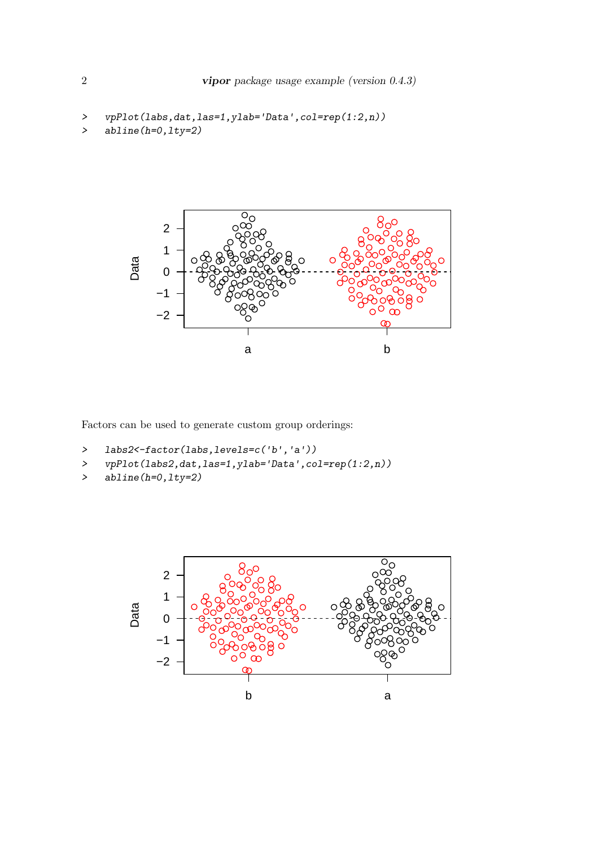```
> vpPlot(labs,dat,las=1,ylab='Data',col=rep(1:2,n))
> abline(h=0,lty=2)
```


Factors can be used to generate custom group orderings:

```
> labs2<-factor(labs,levels=c('b','a'))
```
> vpPlot(labs2,dat,las=1,ylab='Data',col=rep(1:2,n))

```
> abline(h=0,lty=2)
```
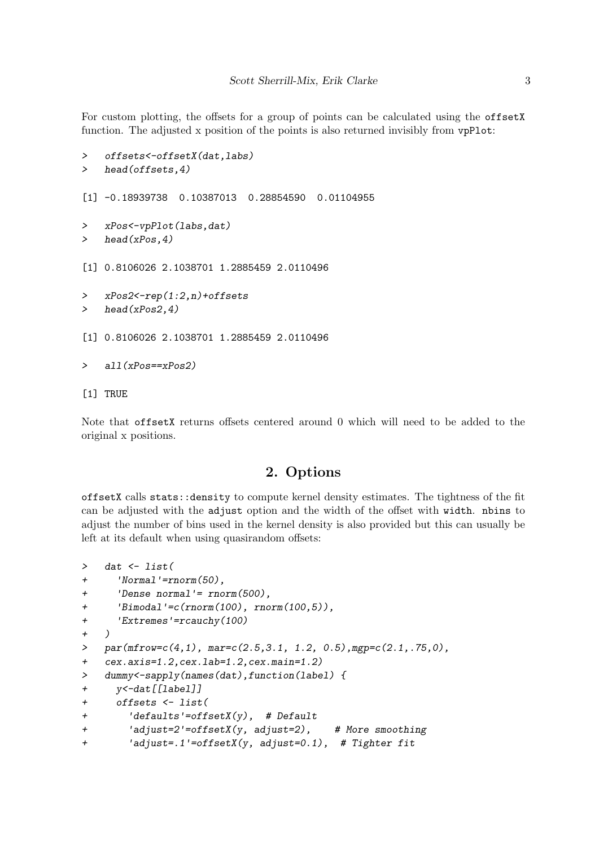For custom plotting, the offsets for a group of points can be calculated using the offsetX function. The adjusted x position of the points is also returned invisibly from vpPlot:

```
> offsets<-offsetX(dat,labs)
> head(offsets,4)
[1] -0.18939738 0.10387013 0.28854590 0.01104955
> xPos<-vpPlot(labs,dat)
> head(xPos,4)
[1] 0.8106026 2.1038701 1.2885459 2.0110496
> xPos2<-rep(1:2,n)+offsets
> head(xPos2,4)
[1] 0.8106026 2.1038701 1.2885459 2.0110496
> all(xPos==xPos2)
[1] TRUE
```
Note that offsetX returns offsets centered around 0 which will need to be added to the original x positions.

### 2. Options

offsetX calls stats::density to compute kernel density estimates. The tightness of the fit can be adjusted with the adjust option and the width of the offset with width. nbins to adjust the number of bins used in the kernel density is also provided but this can usually be left at its default when using quasirandom offsets:

```
> dat <- list(
+ 'Normal'=rnorm(50),
+ 'Dense normal'= rnorm(500),
+ 'Bimodal'=c(rnorm(100), rnorm(100,5)),
+ 'Extremes'=rcauchy(100)
+ )
> par(mfrow=c(4,1), mar=c(2.5,3.1, 1.2, 0.5),mgp=c(2.1,.75,0),
+ cex.axis=1.2,cex.lab=1.2,cex.main=1.2)
> dummy<-sapply(names(dat),function(label) {
+ y<-dat[[label]]
+ offsets <- list(
+ 'defaults'=offsetX(y), # Default
+ 'adjust=2'=offsetX(y, adjust=2), # More smoothing
+ 'adjust=.1'=offsetX(y, adjust=0.1), # Tighter fit
```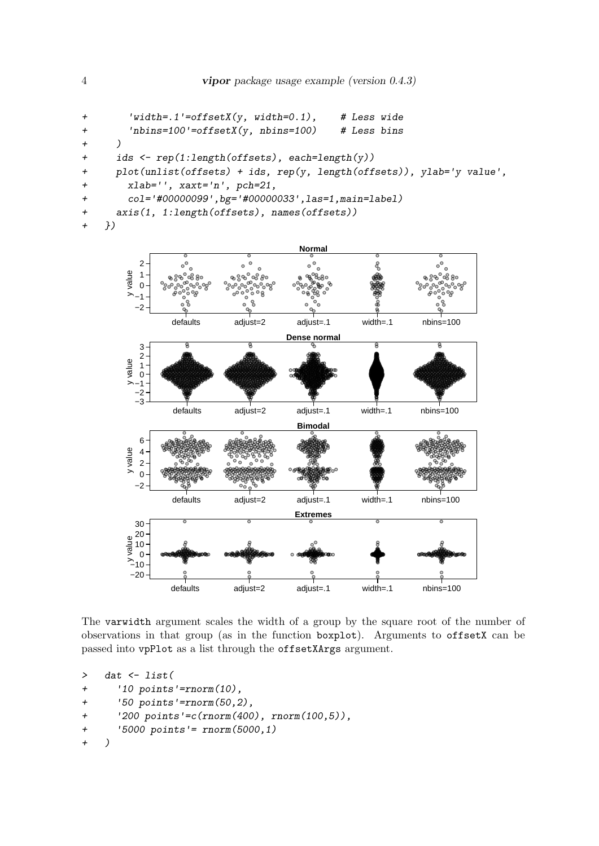```
+ 'width=.1'=offsetX(y, width=0.1), # Less wide
+ 'nbins=100'=offsetX(y, nbins=100) # Less bins
+ )
+ ids <- rep(1:length(offsets), each=length(y))
+ plot(unlist(offsets) + ids, rep(y, length(offsets)), ylab='y value',
+ xlab='', xaxt='n', pch=21,
+ col='#00000099',bg='#00000033',las=1,main=label)
+ axis(1, 1:length(offsets), names(offsets))
+ })
                                  Normal
         2
                          \bullet
```


The varwidth argument scales the width of a group by the square root of the number of observations in that group (as in the function boxplot). Arguments to offsetX can be passed into vpPlot as a list through the offsetXArgs argument.

```
> dat <- list(
+ '10 points'=rnorm(10),
+ '50 points'=rnorm(50,2),
+ '200 points'=c(rnorm(400), rnorm(100,5)),
+ '5000 points'= rnorm(5000,1)
+ )
```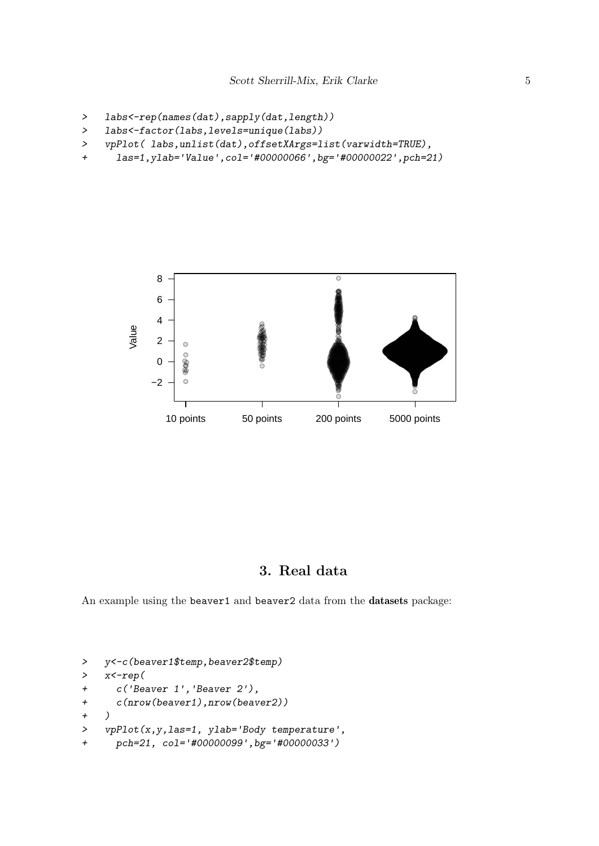```
> labs<-rep(names(dat),sapply(dat,length))
```

```
> labs<-factor(labs,levels=unique(labs))
```
> vpPlot( labs,unlist(dat),offsetXArgs=list(varwidth=TRUE),

```
+ las=1,ylab='Value',col='#00000066',bg='#00000022',pch=21)
```


### 3. Real data

An example using the beaver1 and beaver2 data from the datasets package:

```
> y<-c(beaver1$temp,beaver2$temp)
> x<-rep(
+ c('Beaver 1','Beaver 2'),
+ c(nrow(beaver1),nrow(beaver2))
+ )
> vpPlot(x,y,las=1, ylab='Body temperature',
+ pch=21, col='#00000099',bg='#00000033')
```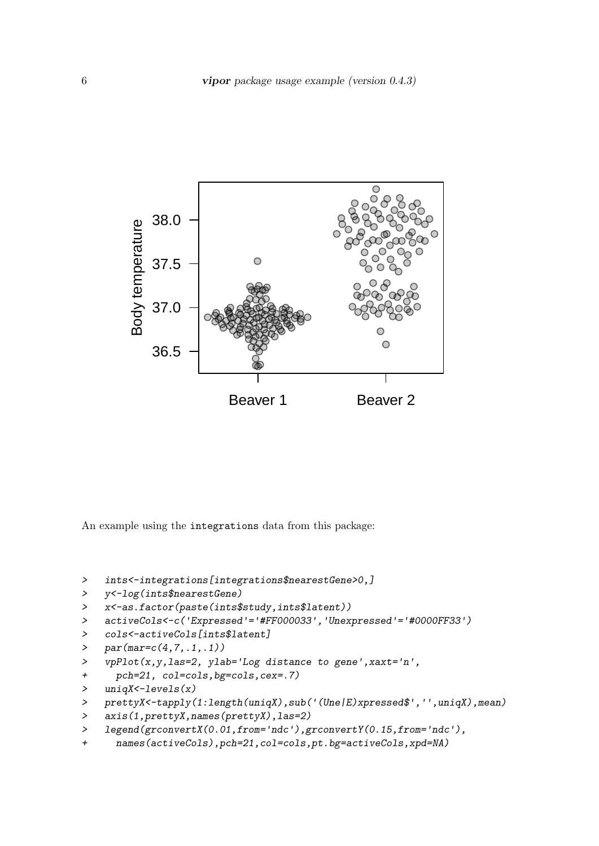

An example using the integrations data from this package:

```
> ints<-integrations[integrations$nearestGene>0,]
```

```
> y<-log(ints$nearestGene)
```

```
> x<-as.factor(paste(ints$study,ints$latent))
```

```
> activeCols<-c('Expressed'='#FF000033','Unexpressed'='#0000FF33')
```

```
> cols<-activeCols[ints$latent]
```

```
> par(max=c(4,7,.1,.1))
```

```
> vpPlot(x,y,las=2, ylab='Log distance to gene',xaxt='n',
```

```
+ pch=21, col=cols,bg=cols,cex=.7)
```

```
> uniqX<-levels(x)
```

```
> prettyX<-tapply(1:length(uniqX),sub('(Une|E)xpressed$','',uniqX),mean)
```

```
> axis(1,prettyX,names(prettyX),las=2)
```

```
> legend(grconvertX(0.01,from='ndc'),grconvertY(0.15,from='ndc'),
```

```
+ names(activeCols),pch=21,col=cols,pt.bg=activeCols,xpd=NA)
```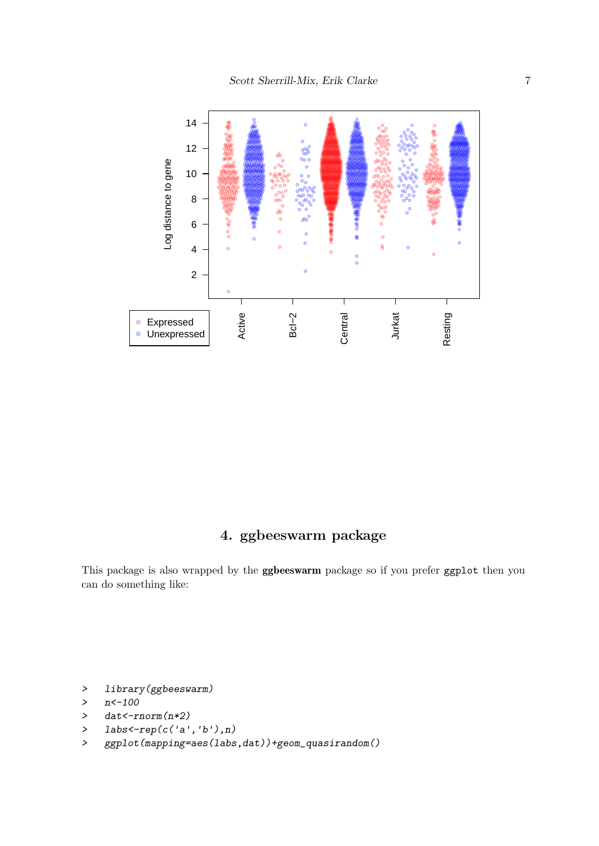

## 4. ggbeeswarm package

This package is also wrapped by the ggbeeswarm package so if you prefer ggplot then you can do something like:

```
> library(ggbeeswarm)
```

```
> n < -100
```
- > dat<-rnorm(n\*2)
- > labs<-rep(c('a','b'),n)
- > ggplot(mapping=aes(labs,dat))+geom\_quasirandom()